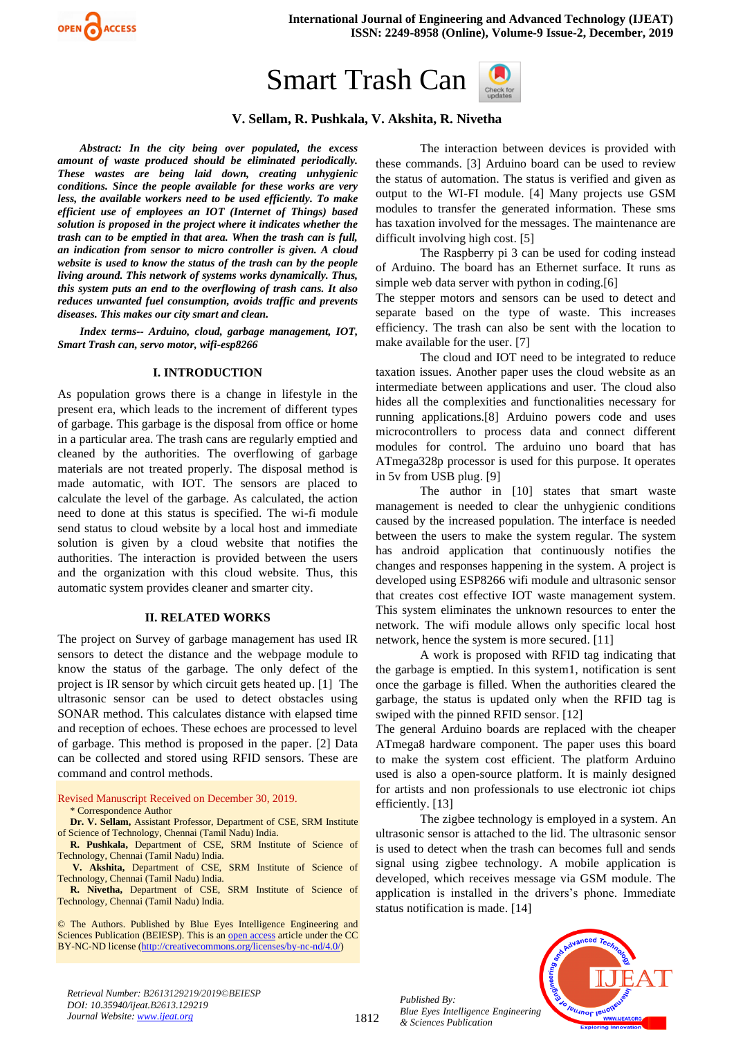

# Smart Trash Can



# **V. Sellam, R. Pushkala, V. Akshita, R. Nivetha**

*Abstract: In the city being over populated, the excess amount of waste produced should be eliminated periodically. These wastes are being laid down, creating unhygienic conditions. Since the people available for these works are very less, the available workers need to be used efficiently. To make efficient use of employees an IOT (Internet of Things) based solution is proposed in the project where it indicates whether the trash can to be emptied in that area. When the trash can is full, an indication from sensor to micro controller is given. A cloud website is used to know the status of the trash can by the people living around. This network of systems works dynamically. Thus, this system puts an end to the overflowing of trash cans. It also reduces unwanted fuel consumption, avoids traffic and prevents diseases. This makes our city smart and clean.* 

*Index terms-- Arduino, cloud, garbage management, IOT, Smart Trash can, servo motor, wifi-esp8266* 

#### **I. INTRODUCTION**

As population grows there is a change in lifestyle in the present era, which leads to the increment of different types of garbage. This garbage is the disposal from office or home in a particular area. The trash cans are regularly emptied and cleaned by the authorities. The overflowing of garbage materials are not treated properly. The disposal method is made automatic, with IOT. The sensors are placed to calculate the level of the garbage. As calculated, the action need to done at this status is specified. The wi-fi module send status to cloud website by a local host and immediate solution is given by a cloud website that notifies the authorities. The interaction is provided between the users and the organization with this cloud website. Thus, this automatic system provides cleaner and smarter city.

#### **II. RELATED WORKS**

The project on Survey of garbage management has used IR sensors to detect the distance and the webpage module to know the status of the garbage. The only defect of the project is IR sensor by which circuit gets heated up. [1] The ultrasonic sensor can be used to detect obstacles using SONAR method. This calculates distance with elapsed time and reception of echoes. These echoes are processed to level of garbage. This method is proposed in the paper. [2] Data can be collected and stored using RFID sensors. These are command and control methods.

Revised Manuscript Received on December 30, 2019. \* Correspondence Author

**Dr. V. Sellam,** Assistant Professor, Department of CSE, SRM Institute of Science of Technology, Chennai (Tamil Nadu) India.

**R. Pushkala,** Department of CSE, SRM Institute of Science of Technology, Chennai (Tamil Nadu) India.

**V. Akshita,** Department of CSE, SRM Institute of Science of Technology, Chennai (Tamil Nadu) India.

**R. Nivetha,** Department of CSE, SRM Institute of Science of Technology, Chennai (Tamil Nadu) India.

© The Authors. Published by Blue Eyes Intelligence Engineering and Sciences Publication (BEIESP). This is a[n open access](https://www.openaccess.nl/en/open-publications) article under the CC BY-NC-ND license [\(http://creativecommons.org/licenses/by-nc-nd/4.0/\)](http://creativecommons.org/licenses/by-nc-nd/4.0/)

The interaction between devices is provided with these commands. [3] Arduino board can be used to review the status of automation. The status is verified and given as output to the WI-FI module. [4] Many projects use GSM modules to transfer the generated information. These sms has taxation involved for the messages. The maintenance are difficult involving high cost. [5]

The Raspberry pi 3 can be used for coding instead of Arduino. The board has an Ethernet surface. It runs as simple web data server with python in coding.[6]

The stepper motors and sensors can be used to detect and separate based on the type of waste. This increases efficiency. The trash can also be sent with the location to make available for the user. [7]

The cloud and IOT need to be integrated to reduce taxation issues. Another paper uses the cloud website as an intermediate between applications and user. The cloud also hides all the complexities and functionalities necessary for running applications.[8] Arduino powers code and uses microcontrollers to process data and connect different modules for control. The arduino uno board that has ATmega328p processor is used for this purpose. It operates in 5v from USB plug. [9]

The author in [10] states that smart waste management is needed to clear the unhygienic conditions caused by the increased population. The interface is needed between the users to make the system regular. The system has android application that continuously notifies the changes and responses happening in the system. A project is developed using ESP8266 wifi module and ultrasonic sensor that creates cost effective IOT waste management system. This system eliminates the unknown resources to enter the network. The wifi module allows only specific local host network, hence the system is more secured. [11]

A work is proposed with RFID tag indicating that the garbage is emptied. In this system1, notification is sent once the garbage is filled. When the authorities cleared the garbage, the status is updated only when the RFID tag is swiped with the pinned RFID sensor. [12]

The general Arduino boards are replaced with the cheaper ATmega8 hardware component. The paper uses this board to make the system cost efficient. The platform Arduino used is also a open-source platform. It is mainly designed for artists and non professionals to use electronic iot chips efficiently. [13]

The zigbee technology is employed in a system. An ultrasonic sensor is attached to the lid. The ultrasonic sensor is used to detect when the trash can becomes full and sends signal using zigbee technology. A mobile application is developed, which receives message via GSM module. The application is installed in the drivers's phone. Immediate status notification is made. [14]

*Published By: Blue Eyes Intelligence Engineering & Sciences Publication* 



*Retrieval Number: B2613129219/2019©BEIESP DOI: 10.35940/ijeat.B2613.129219 Journal Website[: www.ijeat.org](http://www.ijeat.org/)*

1812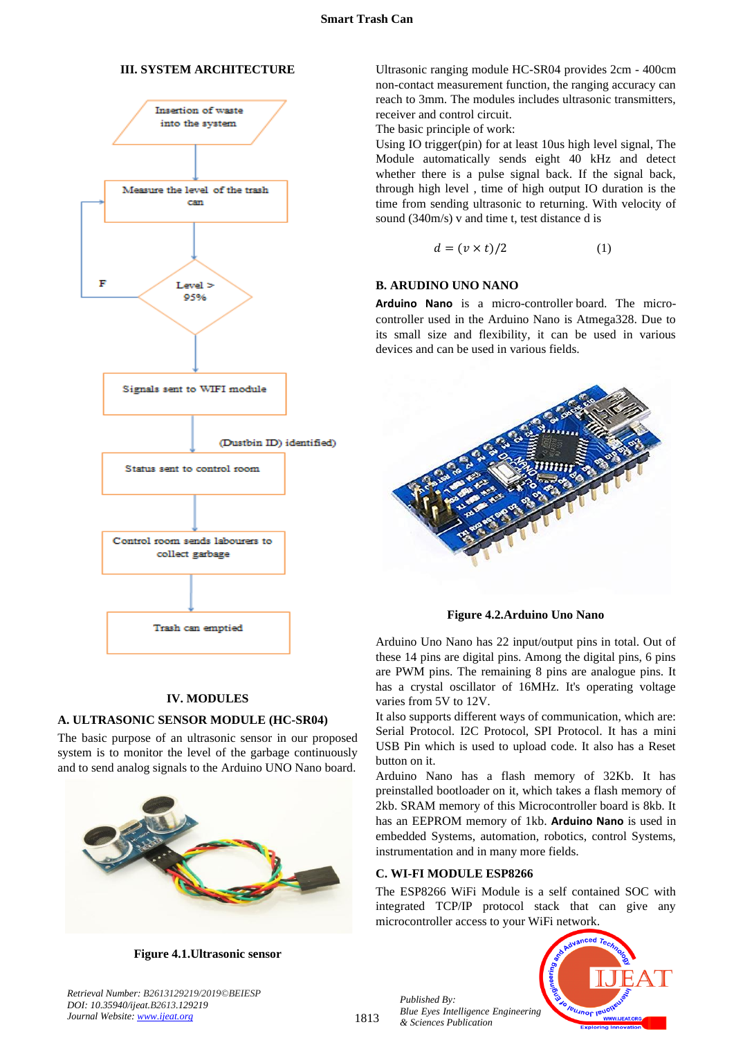## **III. SYSTEM ARCHITECTURE**



## **IV. MODULES**

## **A. ULTRASONIC SENSOR MODULE (HC-SR04)**

The basic purpose of an ultrasonic sensor in our proposed system is to monitor the level of the garbage continuously and to send analog signals to the Arduino UNO Nano board.



**Figure 4.1.Ultrasonic sensor**

Ultrasonic ranging module HC-SR04 provides 2cm - 400cm non-contact measurement function, the ranging accuracy can reach to 3mm. The modules includes ultrasonic transmitters, receiver and control circuit.

The basic principle of work:

Using IO trigger(pin) for at least 10us high level signal, The Module automatically sends eight 40 kHz and detect whether there is a pulse signal back. If the signal back, through high level , time of high output IO duration is the time from sending ultrasonic to returning. With velocity of sound (340m/s) v and time t, test distance d is

$$
d = (v \times t)/2 \tag{1}
$$

## **B. ARUDINO UNO NANO**

**Arduino Nano** is a micro-controller board. The microcontroller used in the Arduino Nano is Atmega328. Due to its small size and flexibility, it can be used in various devices and can be used in various fields.



**Figure 4.2.Arduino Uno Nano**

Arduino Uno Nano has 22 input/output pins in total. Out of these 14 pins are digital pins. Among the digital pins, 6 pins are PWM pins. The remaining 8 pins are analogue pins. It has a crystal oscillator of 16MHz. It's operating voltage varies from 5V to 12V.

It also supports different ways of communication, which are: Serial Protocol. I2C Protocol, SPI Protocol. It has a mini USB Pin which is used to upload code. It also has a Reset button on it.

Arduino Nano has a flash memory of 32Kb. It has preinstalled bootloader on it, which takes a flash memory of 2kb. SRAM memory of this Microcontroller board is 8kb. It has an EEPROM memory of 1kb. **Arduino Nano** is used in embedded Systems, automation, robotics, control Systems, instrumentation and in many more fields.

## **C. WI-FI MODULE ESP8266**

The ESP8266 WiFi Module is a self contained SOC with integrated TCP/IP protocol stack that can give any microcontroller access to your WiFi network.



*Published By: Blue Eyes Intelligence Engineering & Sciences Publication* 

*Retrieval Number: B2613129219/2019©BEIESP DOI: 10.35940/ijeat.B2613.129219 Journal Website[: www.ijeat.org](http://www.ijeat.org/)*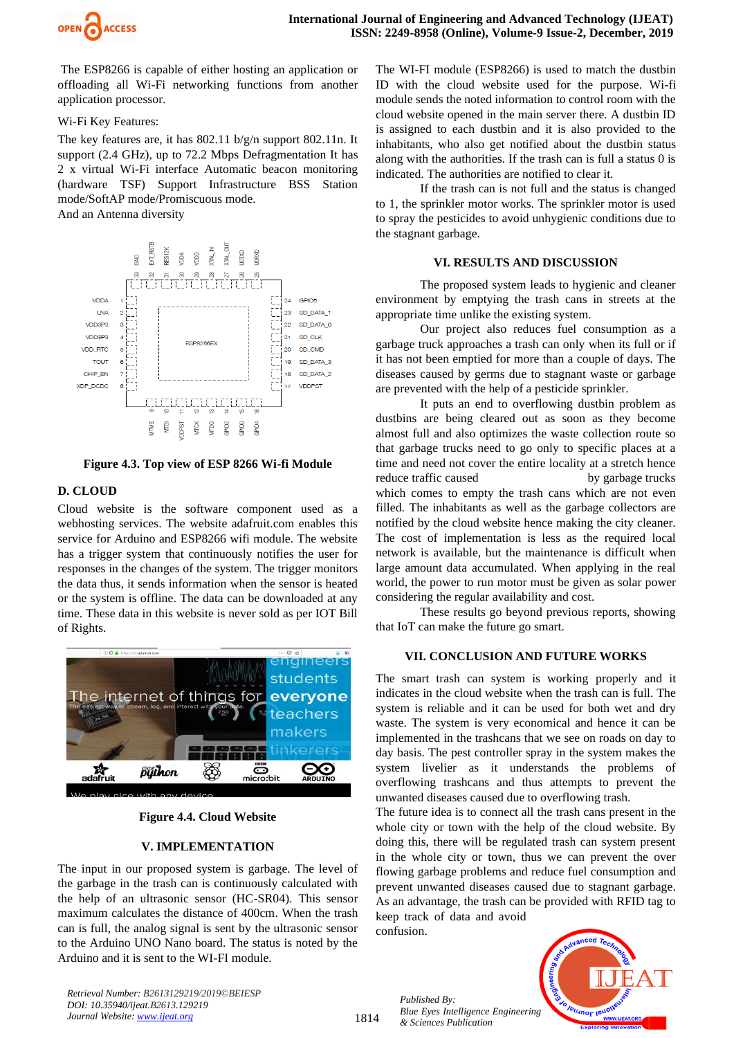

The ESP8266 is capable of either hosting an application or offloading all Wi-Fi networking functions from another application processor.

#### Wi-Fi Key Features:

The key features are, it has 802.11 b/g/n support 802.11n. It support (2.4 GHz), up to 72.2 Mbps Defragmentation It has 2 x virtual Wi-Fi interface Automatic beacon monitoring (hardware TSF) Support Infrastructure BSS Station mode/SoftAP mode/Promiscuous mode.

And an Antenna diversity



**Figure 4.3. Top view of ESP 8266 Wi-fi Module**

# **D. CLOUD**

Cloud website is the software component used as a webhosting services. The website adafruit.com enables this service for Arduino and ESP8266 wifi module. The website has a trigger system that continuously notifies the user for responses in the changes of the system. The trigger monitors the data thus, it sends information when the sensor is heated or the system is offline. The data can be downloaded at any time. These data in this website is never sold as per IOT Bill of Rights.



**Figure 4.4. Cloud Website**

## **V. IMPLEMENTATION**

The input in our proposed system is garbage. The level of the garbage in the trash can is continuously calculated with the help of an ultrasonic sensor (HC-SR04). This sensor maximum calculates the distance of 400cm. When the trash can is full, the analog signal is sent by the ultrasonic sensor to the Arduino UNO Nano board. The status is noted by the Arduino and it is sent to the WI-FI module.

The WI-FI module (ESP8266) is used to match the dustbin ID with the cloud website used for the purpose. Wi-fi module sends the noted information to control room with the cloud website opened in the main server there. A dustbin ID is assigned to each dustbin and it is also provided to the inhabitants, who also get notified about the dustbin status along with the authorities. If the trash can is full a status 0 is indicated. The authorities are notified to clear it.

If the trash can is not full and the status is changed to 1, the sprinkler motor works. The sprinkler motor is used to spray the pesticides to avoid unhygienic conditions due to the stagnant garbage.

## **VI. RESULTS AND DISCUSSION**

The proposed system leads to hygienic and cleaner environment by emptying the trash cans in streets at the appropriate time unlike the existing system.

Our project also reduces fuel consumption as a garbage truck approaches a trash can only when its full or if it has not been emptied for more than a couple of days. The diseases caused by germs due to stagnant waste or garbage are prevented with the help of a pesticide sprinkler.

It puts an end to overflowing dustbin problem as dustbins are being cleared out as soon as they become almost full and also optimizes the waste collection route so that garbage trucks need to go only to specific places at a time and need not cover the entire locality at a stretch hence reduce traffic caused by garbage trucks which comes to empty the trash cans which are not even filled. The inhabitants as well as the garbage collectors are notified by the cloud website hence making the city cleaner. The cost of implementation is less as the required local network is available, but the maintenance is difficult when large amount data accumulated. When applying in the real world, the power to run motor must be given as solar power considering the regular availability and cost.

These results go beyond previous reports, showing that IoT can make the future go smart.

## **VII. CONCLUSION AND FUTURE WORKS**

The smart trash can system is working properly and it indicates in the cloud website when the trash can is full. The system is reliable and it can be used for both wet and dry waste. The system is very economical and hence it can be implemented in the trashcans that we see on roads on day to day basis. The pest controller spray in the system makes the system livelier as it understands the problems of overflowing trashcans and thus attempts to prevent the unwanted diseases caused due to overflowing trash.

The future idea is to connect all the trash cans present in the whole city or town with the help of the cloud website. By doing this, there will be regulated trash can system present in the whole city or town, thus we can prevent the over flowing garbage problems and reduce fuel consumption and prevent unwanted diseases caused due to stagnant garbage. As an advantage, the trash can be provided with RFID tag to keep track of data and avoid

confusion.



*Retrieval Number: B2613129219/2019©BEIESP DOI: 10.35940/ijeat.B2613.129219 Journal Website[: www.ijeat.org](http://www.ijeat.org/)*

1814

*Published By: Blue Eyes Intelligence Engineering & Sciences Publication*